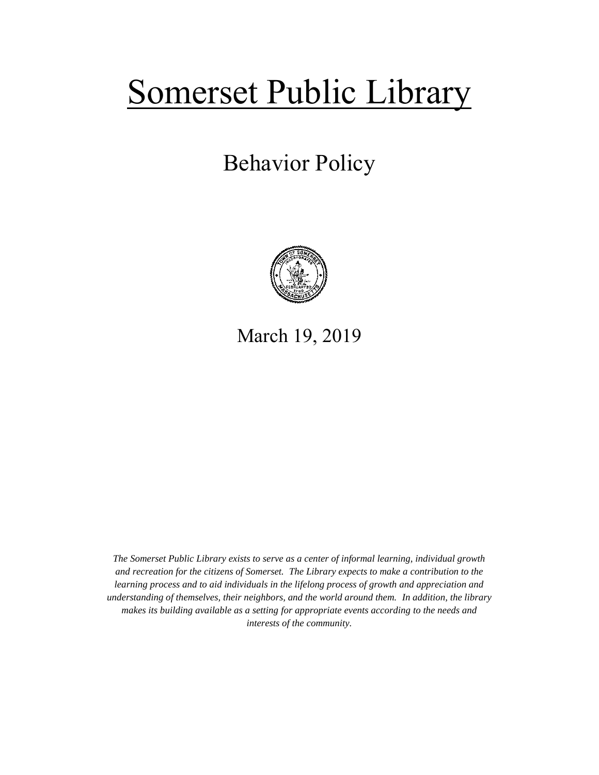# Somerset Public Library

## Behavior Policy



### March 19, 2019

*The Somerset Public Library exists to serve as a center of informal learning, individual growth and recreation for the citizens of Somerset. The Library expects to make a contribution to the learning process and to aid individuals in the lifelong process of growth and appreciation and understanding of themselves, their neighbors, and the world around them. In addition, the library makes its building available as a setting for appropriate events according to the needs and interests of the community.*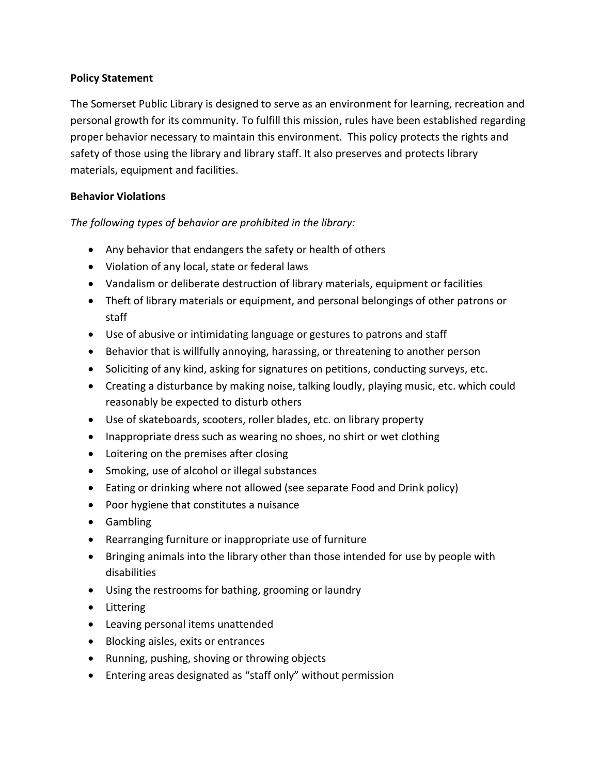#### **Policy Statement**

The Somerset Public Library is designed to serve as an environment for learning, recreation and personal growth for its community. To fulfill this mission, rules have been established regarding proper behavior necessary to maintain this environment. This policy protects the rights and safety of those using the library and library staff. It also preserves and protects library materials, equipment and facilities.

#### **Behavior Violations**

*The following types of behavior are prohibited in the library:*

- Any behavior that endangers the safety or health of others
- Violation of any local, state or federal laws
- Vandalism or deliberate destruction of library materials, equipment or facilities
- Theft of library materials or equipment, and personal belongings of other patrons or staff
- Use of abusive or intimidating language or gestures to patrons and staff
- Behavior that is willfully annoying, harassing, or threatening to another person
- Soliciting of any kind, asking for signatures on petitions, conducting surveys, etc.
- Creating a disturbance by making noise, talking loudly, playing music, etc. which could reasonably be expected to disturb others
- Use of skateboards, scooters, roller blades, etc. on library property
- Inappropriate dress such as wearing no shoes, no shirt or wet clothing
- Loitering on the premises after closing
- Smoking, use of alcohol or illegal substances
- Eating or drinking where not allowed (see separate Food and Drink policy)
- Poor hygiene that constitutes a nuisance
- Gambling
- Rearranging furniture or inappropriate use of furniture
- Bringing animals into the library other than those intended for use by people with disabilities
- Using the restrooms for bathing, grooming or laundry
- Littering
- Leaving personal items unattended
- Blocking aisles, exits or entrances
- Running, pushing, shoving or throwing objects
- Entering areas designated as "staff only" without permission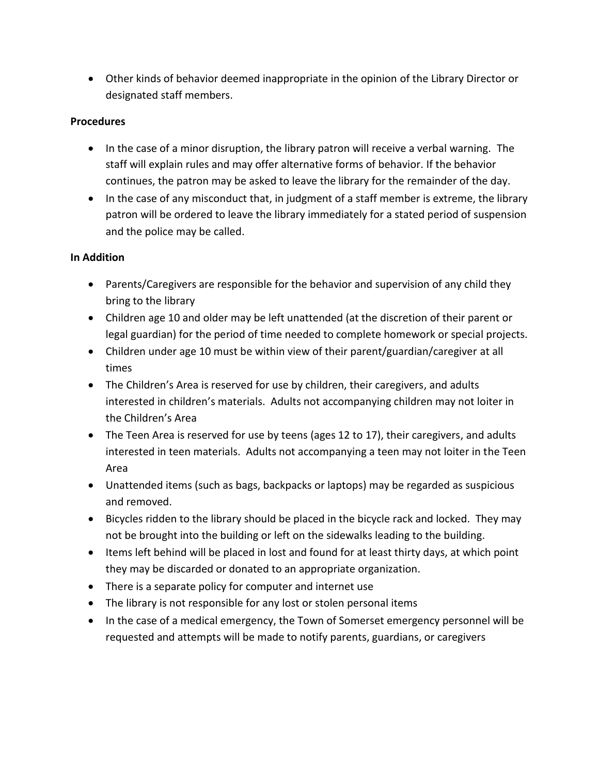Other kinds of behavior deemed inappropriate in the opinion of the Library Director or designated staff members.

#### **Procedures**

- In the case of a minor disruption, the library patron will receive a verbal warning. The staff will explain rules and may offer alternative forms of behavior. If the behavior continues, the patron may be asked to leave the library for the remainder of the day.
- In the case of any misconduct that, in judgment of a staff member is extreme, the library patron will be ordered to leave the library immediately for a stated period of suspension and the police may be called.

#### **In Addition**

- Parents/Caregivers are responsible for the behavior and supervision of any child they bring to the library
- Children age 10 and older may be left unattended (at the discretion of their parent or legal guardian) for the period of time needed to complete homework or special projects.
- Children under age 10 must be within view of their parent/guardian/caregiver at all times
- The Children's Area is reserved for use by children, their caregivers, and adults interested in children's materials. Adults not accompanying children may not loiter in the Children's Area
- The Teen Area is reserved for use by teens (ages 12 to 17), their caregivers, and adults interested in teen materials. Adults not accompanying a teen may not loiter in the Teen Area
- Unattended items (such as bags, backpacks or laptops) may be regarded as suspicious and removed.
- Bicycles ridden to the library should be placed in the bicycle rack and locked. They may not be brought into the building or left on the sidewalks leading to the building.
- Items left behind will be placed in lost and found for at least thirty days, at which point they may be discarded or donated to an appropriate organization.
- There is a separate policy for computer and internet use
- The library is not responsible for any lost or stolen personal items
- In the case of a medical emergency, the Town of Somerset emergency personnel will be requested and attempts will be made to notify parents, guardians, or caregivers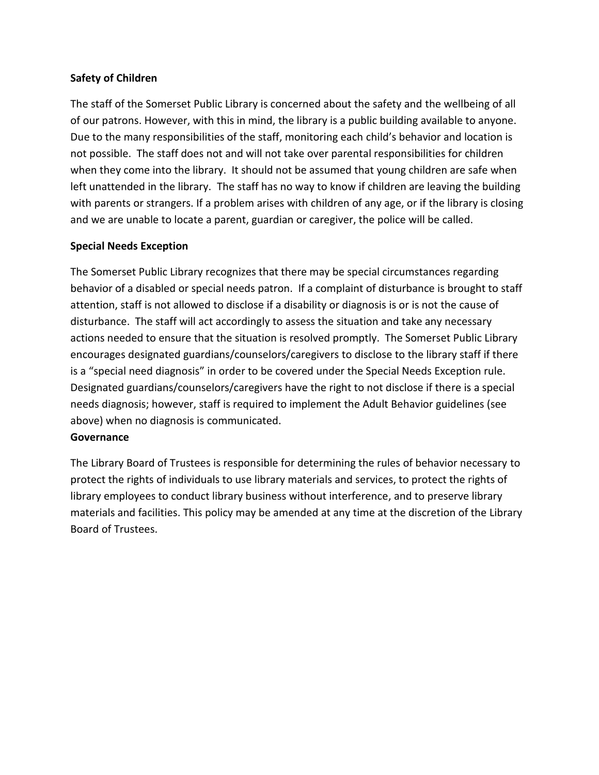#### **Safety of Children**

The staff of the Somerset Public Library is concerned about the safety and the wellbeing of all of our patrons. However, with this in mind, the library is a public building available to anyone. Due to the many responsibilities of the staff, monitoring each child's behavior and location is not possible. The staff does not and will not take over parental responsibilities for children when they come into the library. It should not be assumed that young children are safe when left unattended in the library. The staff has no way to know if children are leaving the building with parents or strangers. If a problem arises with children of any age, or if the library is closing and we are unable to locate a parent, guardian or caregiver, the police will be called.

#### **Special Needs Exception**

The Somerset Public Library recognizes that there may be special circumstances regarding behavior of a disabled or special needs patron. If a complaint of disturbance is brought to staff attention, staff is not allowed to disclose if a disability or diagnosis is or is not the cause of disturbance. The staff will act accordingly to assess the situation and take any necessary actions needed to ensure that the situation is resolved promptly. The Somerset Public Library encourages designated guardians/counselors/caregivers to disclose to the library staff if there is a "special need diagnosis" in order to be covered under the Special Needs Exception rule. Designated guardians/counselors/caregivers have the right to not disclose if there is a special needs diagnosis; however, staff is required to implement the Adult Behavior guidelines (see above) when no diagnosis is communicated.

#### **Governance**

The Library Board of Trustees is responsible for determining the rules of behavior necessary to protect the rights of individuals to use library materials and services, to protect the rights of library employees to conduct library business without interference, and to preserve library materials and facilities. This policy may be amended at any time at the discretion of the Library Board of Trustees.